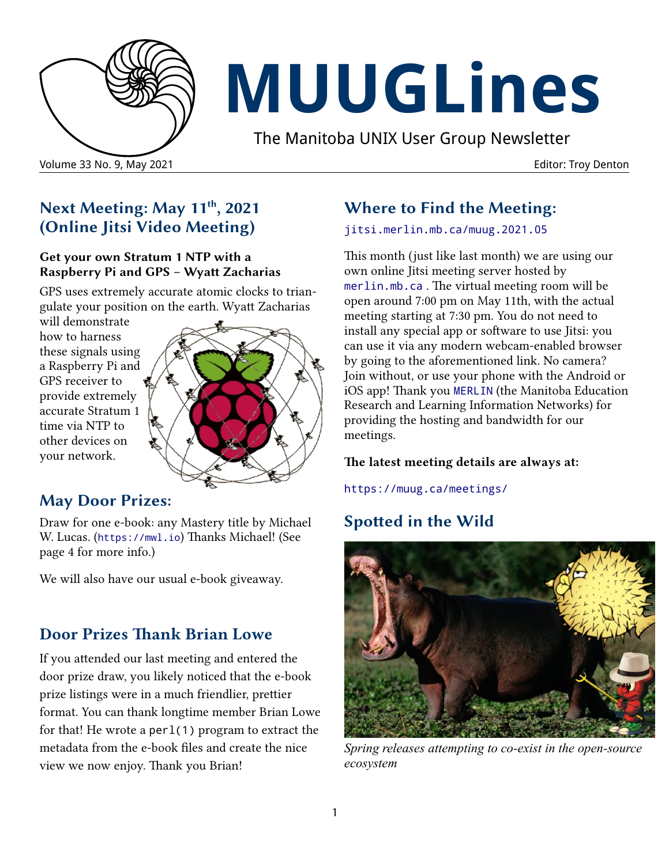

# **MUUGLines**

The Manitoba UNIX User Group Newsletter

#### Volume 33 No. 9, May 2021 Editor: Troy Denton

## **Next Meeting: May 11th, 2021 (Online Jitsi Video Meeting)**

#### **Get your own Stratum 1 NTP with a Raspberry Pi and GPS – Wyatt Zacharias**

GPS uses extremely accurate atomic clocks to triangulate your position on the earth. Wyatt Zacharias

will demonstrate how to harness these signals using a Raspberry Pi and GPS receiver to provide extremely accurate Stratum 1 time via NTP to other devices on your network.



## **May Door Prizes:**

Draw for one e-book: any Mastery title by Michael W. Lucas. ([https://mwl.io](https://mwl.io/)) Thanks Michael! (See page 4 for more info.)

We will also have our usual e-book giveaway.

## **Door Prizes Thank Brian Lowe**

If you attended our last meeting and entered the door prize draw, you likely noticed that the e-book prize listings were in a much friendlier, prettier format. You can thank longtime member Brian Lowe for that! He wrote a perl(1) program to extract the metadata from the e-book files and create the nice view we now enjoy. Thank you Brian!

## **Where to Find the Meeting:**

[jitsi.merlin.mb.ca/muug.2021.05](http://jitsi.merlin.mb.ca/muug.2021.05)

This month (just like last month) we are using our own online Jitsi meeting server hosted by [merlin.mb.ca](http://merlin.mb.ca/) . The virtual meeting room will be open around 7:00 pm on May 11th, with the actual meeting starting at 7:30 pm. You do not need to install any special app or software to use Jitsi: you can use it via any modern webcam-enabled browser by going to the aforementioned link. No camera? Join without, or use your phone with the Android or iOS app! Thank you [MERLIN](http://merlin.mb.ca/) (the Manitoba Education Research and Learning Information Networks) for providing the hosting and bandwidth for our meetings.

#### **The latest meeting details are always at:**

<https://muug.ca/meetings/>

# **Spotted in the Wild**



*Spring releases attempting to co-exist in the open-source ecosystem*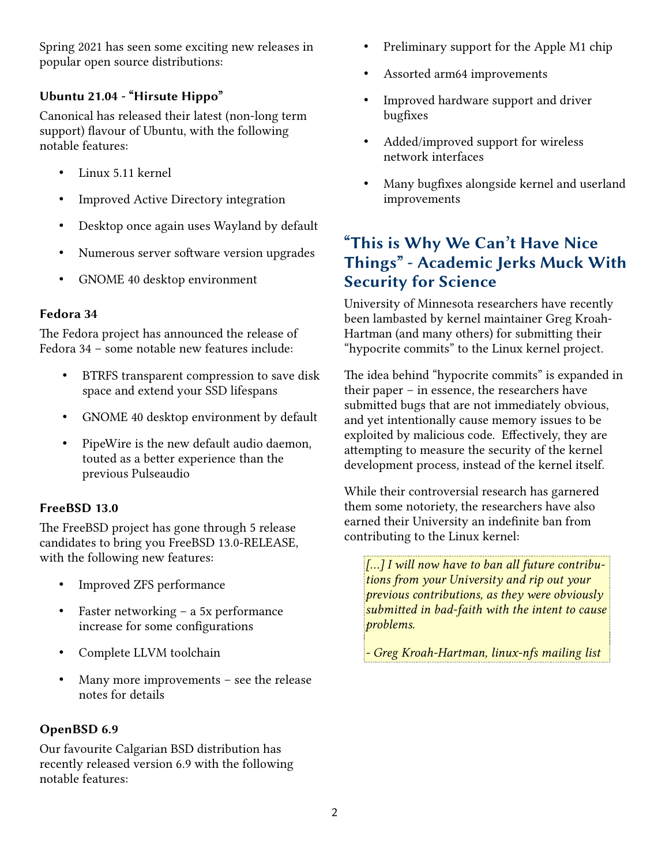Spring 2021 has seen some exciting new releases in popular open source distributions:

#### **Ubuntu 21.04 - "Hirsute Hippo"**

Canonical has released their latest (non-long term support) flavour of Ubuntu, with the following notable features:

- Linux 5.11 kernel
- Improved Active Directory integration
- Desktop once again uses Wayland by default
- Numerous server software version upgrades
- GNOME 40 desktop environment

#### **Fedora 34**

The Fedora project has announced the release of Fedora 34 – some notable new features include:

- BTRFS transparent compression to save disk space and extend your SSD lifespans
- GNOME 40 desktop environment by default
- PipeWire is the new default audio daemon, touted as a better experience than the previous Pulseaudio

#### **FreeBSD 13.0**

The FreeBSD project has gone through 5 release candidates to bring you FreeBSD 13.0-RELEASE, with the following new features:

- Improved ZFS performance
- Faster networking a 5x performance increase for some configurations
- Complete LLVM toolchain
- Many more improvements  $-$  see the release notes for details

#### **OpenBSD 6.9**

Our favourite Calgarian BSD distribution has recently released version 6.9 with the following notable features:

- Preliminary support for the Apple M1 chip
- Assorted arm64 improvements
- Improved hardware support and driver bugfixes
- Added/improved support for wireless network interfaces
- Many bugfixes alongside kernel and userland improvements

## **"This is Why We Can't Have Nice Things" - Academic Jerks Muck With Security for Science**

University of Minnesota researchers have recently been lambasted by kernel maintainer Greg Kroah-Hartman (and many others) for submitting their "hypocrite commits" to the Linux kernel project.

The idea behind "hypocrite commits" is expanded in their paper – in essence, the researchers have submitted bugs that are not immediately obvious, and yet intentionally cause memory issues to be exploited by malicious code. Effectively, they are attempting to measure the security of the kernel development process, instead of the kernel itself.

While their controversial research has garnered them some notoriety, the researchers have also earned their University an indefinite ban from contributing to the Linux kernel:

*[...] I will now have to ban all future contributions from your University and rip out your previous contributions, as they were obviously submitted in bad-faith with the intent to cause problems.*

*- Greg Kroah-Hartman, linux-nfs mailing list*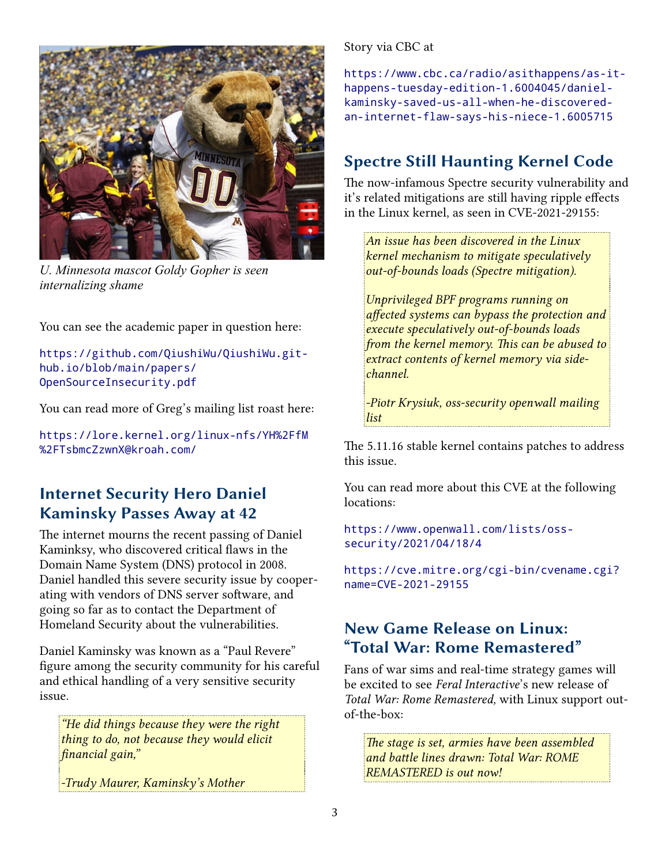

*U. Minnesota mascot Goldy Gopher is seen internalizing shame*

You can see the academic paper in question here:

[https://github.com/QiushiWu/QiushiWu.git](https://github.com/QiushiWu/QiushiWu.github.io/blob/main/papers/OpenSourceInsecurity.pdf)[hub.io/blob/main/papers/](https://github.com/QiushiWu/QiushiWu.github.io/blob/main/papers/OpenSourceInsecurity.pdf) [OpenSourceInsecurity.pdf](https://github.com/QiushiWu/QiushiWu.github.io/blob/main/papers/OpenSourceInsecurity.pdf)

You can read more of Greg's mailing list roast here:

[https://lore.kernel.org/linux-nfs/YH%2FfM](https://lore.kernel.org/linux-nfs/YH%2FfM%2FTsbmcZzwnX@kroah.com/) [%2FTsbmcZzwnX@kroah.com/](https://lore.kernel.org/linux-nfs/YH%2FfM%2FTsbmcZzwnX@kroah.com/)

## **Internet Security Hero Daniel Kaminsky Passes Away at 42**

The internet mourns the recent passing of Daniel Kaminksy, who discovered critical flaws in the Domain Name System (DNS) protocol in 2008. Daniel handled this severe security issue by cooperating with vendors of DNS server software, and going so far as to contact the Department of Homeland Security about the vulnerabilities.

Daniel Kaminsky was known as a "Paul Revere" figure among the security community for his careful and ethical handling of a very sensitive security issue.

*"He did things because they were the right thing to do, not because they would elicit financial gain,"*

*-Trudy Maurer, Kaminsky's Mother*

Story via CBC at

[https://www.cbc.ca/radio/asithappens/as-it](https://www.cbc.ca/radio/asithappens/as-it-happens-tuesday-edition-1.6004045/daniel-kaminsky-saved-us-all-when-he-discovered-an-internet-flaw-says-his-niece-1.6005715)[happens-tuesday-edition-1.6004045/daniel](https://www.cbc.ca/radio/asithappens/as-it-happens-tuesday-edition-1.6004045/daniel-kaminsky-saved-us-all-when-he-discovered-an-internet-flaw-says-his-niece-1.6005715)kaminsky-saved-us-all-when-he-discovered[an-internet-flaw-says-his-niece-1.6005715](https://www.cbc.ca/radio/asithappens/as-it-happens-tuesday-edition-1.6004045/daniel-kaminsky-saved-us-all-when-he-discovered-an-internet-flaw-says-his-niece-1.6005715)

# **Spectre Still Haunting Kernel Code**

The now-infamous Spectre security vulnerability and it's related mitigations are still having ripple effects in the Linux kernel, as seen in CVE-2021-29155:

*An issue has been discovered in the Linux kernel mechanism to mitigate speculatively out-of-bounds loads (Spectre mitigation).*

*Unprivileged BPF programs running on affected systems can bypass the protection and execute speculatively out-of-bounds loads from the kernel memory. This can be abused to extract contents of kernel memory via sidechannel.*

*-Piotr Krysiuk, oss-security openwall mailing list*

The 5.11.16 stable kernel contains patches to address this issue.

You can read more about this CVE at the following locations:

[https://www.openwall.com/lists/oss](https://www.openwall.com/lists/oss-security/2021/04/18/4)[security/2021/04/18/4](https://www.openwall.com/lists/oss-security/2021/04/18/4)

[https://cve.mitre.org/cgi-bin/cvename.cgi?](https://cve.mitre.org/cgi-bin/cvename.cgi?name=CVE-2021-29155) [name=CVE-2021-29155](https://cve.mitre.org/cgi-bin/cvename.cgi?name=CVE-2021-29155)

### **New Game Release on Linux: "Total War: Rome Remastered"**

Fans of war sims and real-time strategy games will be excited to see *Feral Interactive*'s new release of *Total War: Rome Remastered,* with Linux support outof-the-box:

*The stage is set, armies have been assembled and battle lines drawn: Total War: ROME REMASTERED is out now!*